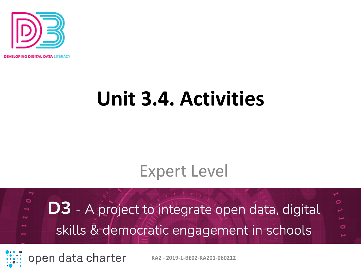

**OPING DIGITAL DATA LITERACY** 

# **Unit 3.4. Activities**

#### Expert Level

 $\circ$ O **D3** - A project to integrate open data, digital skills & democratic engagement in schools o

open data charter

**KA2 - 2019-1-BE02-KA201-060212**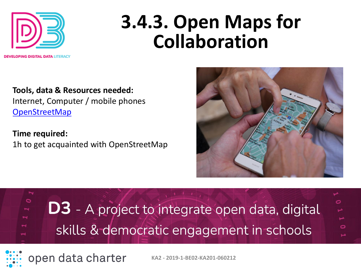

## **3.4.3. Open Maps for Collaboration**

**Tools, data & Resources needed:**  Internet, Computer / mobile phones [OpenStreetMap](https://www.openstreetmap.org/#map=5/42.088/12.564)

**Time required:**  1h to get acquainted with OpenStreetMap



**D3** - A project to integrate open data, digital skills & democratic engagement in schools



 $\circ$ 

open data charter

**KA2 - 2019-1-BE02-KA201-060212**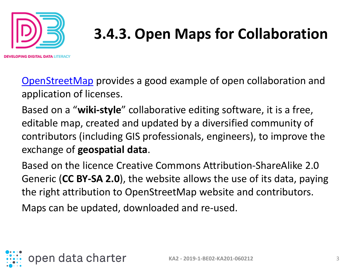

### **3.4.3. Open Maps for Collaboration**

IN**G DIGITAL DATA** LITERACY

[OpenStreetMap](https://www.openstreetmap.org/#map=5/42.088/12.564) provides a good example of open collaboration and application of licenses.

Based on a "**wiki-style**" collaborative editing software, it is a free, editable map, created and updated by a diversified community of contributors (including GIS professionals, engineers), to improve the exchange of **geospatial data**.

Based on the licence Creative Commons Attribution-ShareAlike 2.0 Generic (**CC BY-SA 2.0**), the website allows the use of its data, paying the right attribution to OpenStreetMap website and contributors.

Maps can be updated, downloaded and re-used.

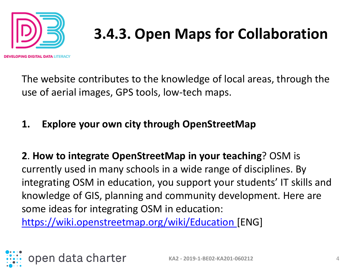

IN**G DIGITAL DATA** LITERACY

### **3.4.3. Open Maps for Collaboration**

The website contributes to the knowledge of local areas, through the use of aerial images, GPS tools, low-tech maps.

#### **1. Explore your own city through OpenStreetMap**

**2**. **How to integrate OpenStreetMap in your teaching**? OSM is currently used in many schools in a wide range of disciplines. By integrating OSM in education, you support your students' IT skills and knowledge of GIS, planning and community development. Here are some ideas for integrating OSM in education: [https://wiki.openstreetmap.org/wiki/Education \[](https://wiki.openstreetmap.org/wiki/Education)ENG]

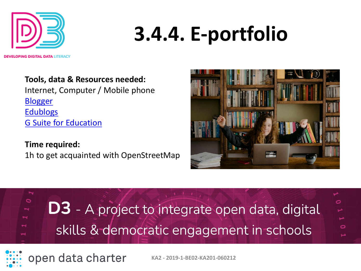

**Tools, data & Resources needed:**  Internet, Computer / Mobile phone **[Blogger](https://www.blogger.com/about/)** 

**[Edublogs](https://edublogs.org/)** [G Suite for Education](https://edu.google.com/intl/en_nz/products/workspace-for-education/education-fundamentals/)

open data charter

**Time required:**  1h to get acquainted with OpenStreetMap





**KA2 - 2019-1-BE02-KA201-060212**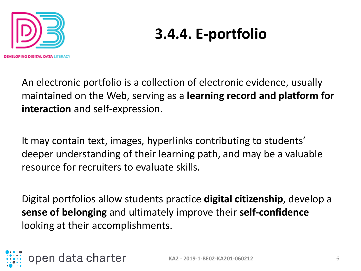

An electronic portfolio is a collection of electronic evidence, usually maintained on the Web, serving as a **learning record and platform for interaction** and self-expression.

It may contain text, images, hyperlinks contributing to students' deeper understanding of their learning path, and may be a valuable resource for recruiters to evaluate skills.

Digital portfolios allow students practice **digital citizenship**, develop a **sense of belonging** and ultimately improve their **self-confidence** looking at their accomplishments.

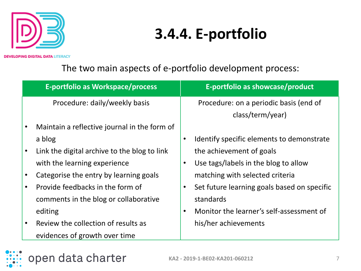

**DEVELOPING DIGITAL DATA LITERACY** 

The two main aspects of e-portfolio development process:

|           | E-portfolio as Workspace/process             |           | E-portfolio as showcase/product             |
|-----------|----------------------------------------------|-----------|---------------------------------------------|
|           | Procedure: daily/weekly basis                |           | Procedure: on a periodic basis (end of      |
|           |                                              |           | class/term/year)                            |
| $\bullet$ | Maintain a reflective journal in the form of |           |                                             |
|           | a blog                                       |           | Identify specific elements to demonstrate   |
| $\bullet$ | Link the digital archive to the blog to link |           | the achievement of goals                    |
|           | with the learning experience                 |           | Use tags/labels in the blog to allow        |
| $\bullet$ | Categorise the entry by learning goals       |           | matching with selected criteria             |
| $\bullet$ | Provide feedbacks in the form of             |           | Set future learning goals based on specific |
|           | comments in the blog or collaborative        | standards |                                             |
|           | editing                                      |           | Monitor the learner's self-assessment of    |
| $\bullet$ | Review the collection of results as          |           | his/her achievements                        |
|           | evidences of growth over time                |           |                                             |

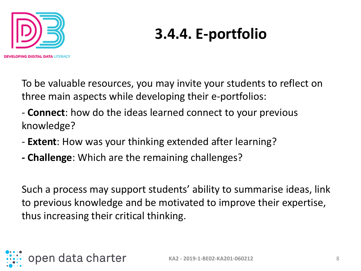

To be valuable resources, you may invite your students to reflect on three main aspects while developing their e-portfolios:

- **Connect**: how do the ideas learned connect to your previous knowledge?
- **Extent**: How was your thinking extended after learning?
- **- Challenge**: Which are the remaining challenges?

Such a process may support students' ability to summarise ideas, link to previous knowledge and be motivated to improve their expertise, thus increasing their critical thinking.

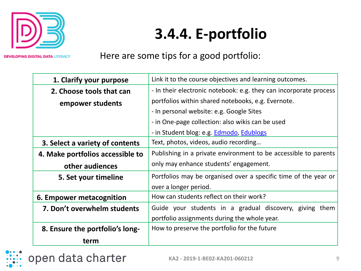

**DEVELOPING DIGITAL DATA LITERACY** 

Here are some tips for a good portfolio:

| 1. Clarify your purpose          | Link it to the course objectives and learning outcomes.           |  |  |
|----------------------------------|-------------------------------------------------------------------|--|--|
| 2. Choose tools that can         | - In their electronic notebook: e.g. they can incorporate process |  |  |
| empower students                 | portfolios within shared notebooks, e.g. Evernote.                |  |  |
|                                  | - In personal website: e.g. Google Sites                          |  |  |
|                                  | - in One-page collection: also wikis can be used                  |  |  |
|                                  | - in Student blog: e.g. <b>Edmodo</b> , <b>Edublogs</b>           |  |  |
| 3. Select a variety of contents  | Text, photos, videos, audio recording                             |  |  |
| 4. Make portfolios accessible to | Publishing in a private environment to be accessible to parents   |  |  |
| other audiences                  | only may enhance students' engagement.                            |  |  |
| 5. Set your timeline             | Portfolios may be organised over a specific time of the year or   |  |  |
|                                  | over a longer period.                                             |  |  |
| 6. Empower metacognition         | How can students reflect on their work?                           |  |  |
| 7. Don't overwhelm students      | Guide your students in a gradual discovery, giving them           |  |  |
|                                  | portfolio assignments during the whole year.                      |  |  |
| 8. Ensure the portfolio's long-  | How to preserve the portfolio for the future                      |  |  |
| term                             |                                                                   |  |  |

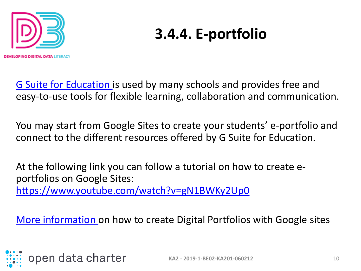

[G Suite for Education i](https://edu.google.com/intl/en_nz/products/workspace-for-education/education-fundamentals/)s used by many schools and provides free and easy-to-use tools for flexible learning, collaboration and communication.

You may start from Google Sites to create your students' e-portfolio and connect to the different resources offered by G Suite for Education.

At the following link you can follow a tutorial on how to create eportfolios on Google Sites: <https://www.youtube.com/watch?v=gN1BWKy2Up0>

[More information](https://sites.google.com/site/eportfolioapps/online-tutorials-sites/sites-how-to) on how to create Digital Portfolios with Google sites